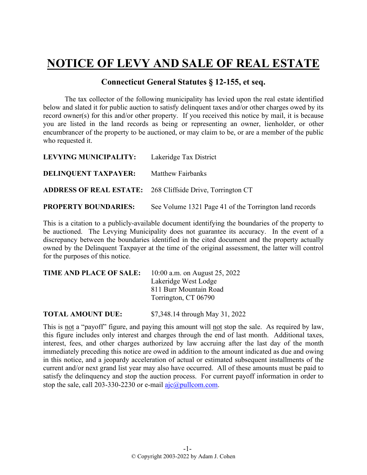## **NOTICE OF LEVY AND SALE OF REAL ESTATE**

## **Connecticut General Statutes § 12-155, et seq.**

The tax collector of the following municipality has levied upon the real estate identified below and slated it for public auction to satisfy delinquent taxes and/or other charges owed by its record owner(s) for this and/or other property. If you received this notice by mail, it is because you are listed in the land records as being or representing an owner, lienholder, or other encumbrancer of the property to be auctioned, or may claim to be, or are a member of the public who requested it.

| LEVYING MUNICIPALITY: Lakeridge Tax District |                                                                   |
|----------------------------------------------|-------------------------------------------------------------------|
| <b>DELINQUENT TAXPAYER:</b>                  | <b>Matthew Fairbanks</b>                                          |
|                                              | <b>ADDRESS OF REAL ESTATE:</b> 268 Cliffside Drive, Torrington CT |
| <b>PROPERTY BOUNDARIES:</b>                  | See Volume 1321 Page 41 of the Torrington land records            |

This is a citation to a publicly-available document identifying the boundaries of the property to be auctioned. The Levying Municipality does not guarantee its accuracy. In the event of a discrepancy between the boundaries identified in the cited document and the property actually owned by the Delinquent Taxpayer at the time of the original assessment, the latter will control for the purposes of this notice.

| TIME AND PLACE OF SALE: | 10:00 a.m. on August $25, 2022$ |
|-------------------------|---------------------------------|
|                         | Lakeridge West Lodge            |
|                         | 811 Burr Mountain Road          |
|                         | Torrington, CT 06790            |
|                         |                                 |
|                         |                                 |

**TOTAL AMOUNT DUE:** \$7,348.14 through May 31, 2022

This is not a "payoff" figure, and paying this amount will not stop the sale. As required by law, this figure includes only interest and charges through the end of last month. Additional taxes, interest, fees, and other charges authorized by law accruing after the last day of the month immediately preceding this notice are owed in addition to the amount indicated as due and owing in this notice, and a jeopardy acceleration of actual or estimated subsequent installments of the current and/or next grand list year may also have occurred. All of these amounts must be paid to satisfy the delinquency and stop the auction process. For current payoff information in order to stop the sale, call 203-330-2230 or e-mail  $a$ jc $@p$ ullcom.com.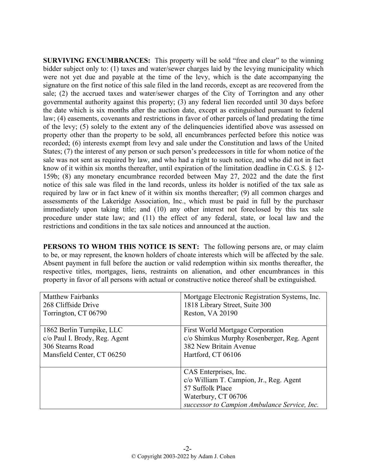**SURVIVING ENCUMBRANCES:** This property will be sold "free and clear" to the winning bidder subject only to: (1) taxes and water/sewer charges laid by the levying municipality which were not yet due and payable at the time of the levy, which is the date accompanying the signature on the first notice of this sale filed in the land records, except as are recovered from the sale; (2) the accrued taxes and water/sewer charges of the City of Torrington and any other governmental authority against this property; (3) any federal lien recorded until 30 days before the date which is six months after the auction date, except as extinguished pursuant to federal law; (4) easements, covenants and restrictions in favor of other parcels of land predating the time of the levy; (5) solely to the extent any of the delinquencies identified above was assessed on property other than the property to be sold, all encumbrances perfected before this notice was recorded; (6) interests exempt from levy and sale under the Constitution and laws of the United States; (7) the interest of any person or such person's predecessors in title for whom notice of the sale was not sent as required by law, and who had a right to such notice, and who did not in fact know of it within six months thereafter, until expiration of the limitation deadline in C.G.S. § 12- 159b; (8) any monetary encumbrance recorded between May 27, 2022 and the date the first notice of this sale was filed in the land records, unless its holder is notified of the tax sale as required by law or in fact knew of it within six months thereafter; (9) all common charges and assessments of the Lakeridge Association, Inc., which must be paid in full by the purchaser immediately upon taking title; and (10) any other interest not foreclosed by this tax sale procedure under state law; and (11) the effect of any federal, state, or local law and the restrictions and conditions in the tax sale notices and announced at the auction.

**PERSONS TO WHOM THIS NOTICE IS SENT:** The following persons are, or may claim to be, or may represent, the known holders of choate interests which will be affected by the sale. Absent payment in full before the auction or valid redemption within six months thereafter, the respective titles, mortgages, liens, restraints on alienation, and other encumbrances in this property in favor of all persons with actual or constructive notice thereof shall be extinguished.

| <b>Matthew Fairbanks</b>      | Mortgage Electronic Registration Systems, Inc.                                                                                                              |
|-------------------------------|-------------------------------------------------------------------------------------------------------------------------------------------------------------|
| 268 Cliffside Drive           | 1818 Library Street, Suite 300                                                                                                                              |
| Torrington, CT 06790          | Reston, VA 20190                                                                                                                                            |
| 1862 Berlin Turnpike, LLC     | <b>First World Mortgage Corporation</b>                                                                                                                     |
| c/o Paul I. Brody, Reg. Agent | c/o Shimkus Murphy Rosenberger, Reg. Agent                                                                                                                  |
| 306 Stearns Road              | 382 New Britain Avenue                                                                                                                                      |
| Mansfield Center, CT 06250    | Hartford, CT 06106                                                                                                                                          |
|                               | CAS Enterprises, Inc.<br>c/o William T. Campion, Jr., Reg. Agent<br>57 Suffolk Place<br>Waterbury, CT 06706<br>successor to Campion Ambulance Service, Inc. |